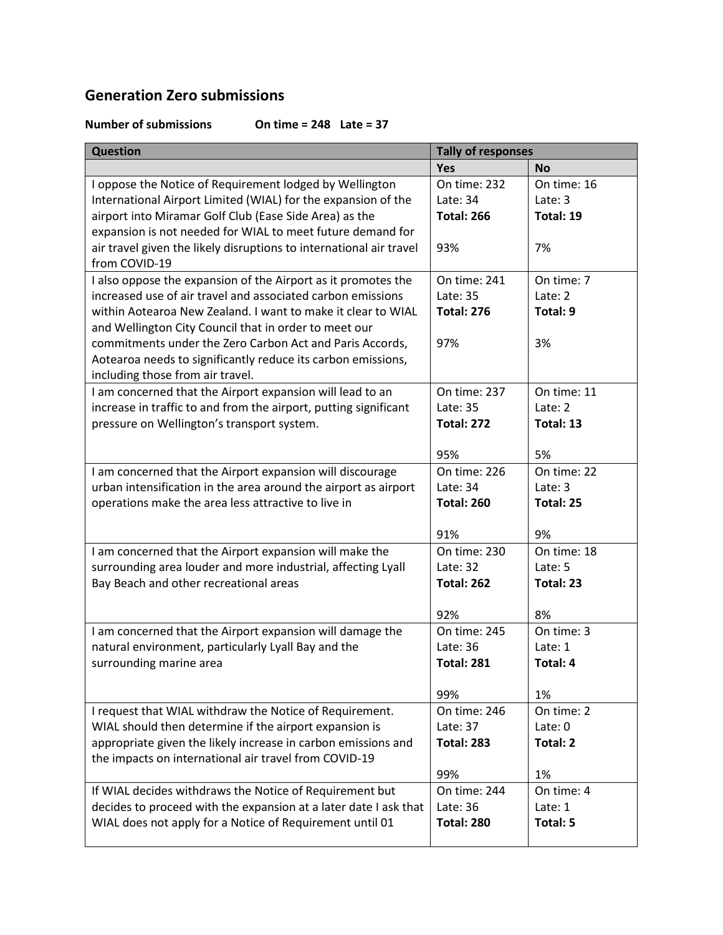## **Generation Zero submissions**

## **Number of submissions On time = 248 Late = 37**

| <b>Question</b>                                                                                                  | <b>Tally of responses</b>     |                        |
|------------------------------------------------------------------------------------------------------------------|-------------------------------|------------------------|
|                                                                                                                  | <b>Yes</b>                    | <b>No</b>              |
| I oppose the Notice of Requirement lodged by Wellington                                                          | On time: 232                  | On time: 16            |
| International Airport Limited (WIAL) for the expansion of the                                                    | Late: 34                      | Late: 3                |
| airport into Miramar Golf Club (Ease Side Area) as the                                                           | <b>Total: 266</b>             | Total: 19              |
| expansion is not needed for WIAL to meet future demand for                                                       |                               |                        |
| air travel given the likely disruptions to international air travel                                              | 93%                           | 7%                     |
| from COVID-19                                                                                                    |                               |                        |
| I also oppose the expansion of the Airport as it promotes the                                                    | On time: 241                  | On time: 7             |
| increased use of air travel and associated carbon emissions                                                      | Late: 35                      | Late: 2                |
| within Aotearoa New Zealand. I want to make it clear to WIAL                                                     | <b>Total: 276</b>             | Total: 9               |
| and Wellington City Council that in order to meet our                                                            |                               |                        |
| commitments under the Zero Carbon Act and Paris Accords,                                                         | 97%                           | 3%                     |
| Aotearoa needs to significantly reduce its carbon emissions,                                                     |                               |                        |
| including those from air travel.                                                                                 |                               |                        |
| I am concerned that the Airport expansion will lead to an                                                        | On time: 237                  | On time: 11<br>Late: 2 |
| increase in traffic to and from the airport, putting significant<br>pressure on Wellington's transport system.   | Late: 35<br><b>Total: 272</b> | Total: 13              |
|                                                                                                                  |                               |                        |
|                                                                                                                  | 95%                           | 5%                     |
| I am concerned that the Airport expansion will discourage                                                        | On time: 226                  | On time: 22            |
| urban intensification in the area around the airport as airport                                                  | Late: 34                      | Late: 3                |
| operations make the area less attractive to live in                                                              | <b>Total: 260</b>             | Total: 25              |
|                                                                                                                  |                               |                        |
|                                                                                                                  | 91%                           | 9%                     |
| I am concerned that the Airport expansion will make the                                                          | On time: 230                  | On time: 18            |
| surrounding area louder and more industrial, affecting Lyall                                                     | Late: 32                      | Late: 5                |
| Bay Beach and other recreational areas                                                                           | <b>Total: 262</b>             | Total: 23              |
|                                                                                                                  |                               |                        |
|                                                                                                                  | 92%<br>On time: 245           | 8%<br>On time: 3       |
| I am concerned that the Airport expansion will damage the<br>natural environment, particularly Lyall Bay and the | Late: 36                      | Late: 1                |
| surrounding marine area                                                                                          | <b>Total: 281</b>             | Total: 4               |
|                                                                                                                  |                               |                        |
|                                                                                                                  | 99%                           | 1%                     |
| I request that WIAL withdraw the Notice of Requirement.                                                          | On time: 246                  | On time: 2             |
| WIAL should then determine if the airport expansion is                                                           | Late: 37                      | Late: 0                |
| appropriate given the likely increase in carbon emissions and                                                    | <b>Total: 283</b>             | <b>Total: 2</b>        |
| the impacts on international air travel from COVID-19                                                            |                               |                        |
|                                                                                                                  | 99%                           | 1%                     |
| If WIAL decides withdraws the Notice of Requirement but                                                          | On time: 244                  | On time: 4             |
| decides to proceed with the expansion at a later date I ask that                                                 | Late: 36                      | Late: 1                |
| WIAL does not apply for a Notice of Requirement until 01                                                         | <b>Total: 280</b>             | <b>Total: 5</b>        |
|                                                                                                                  |                               |                        |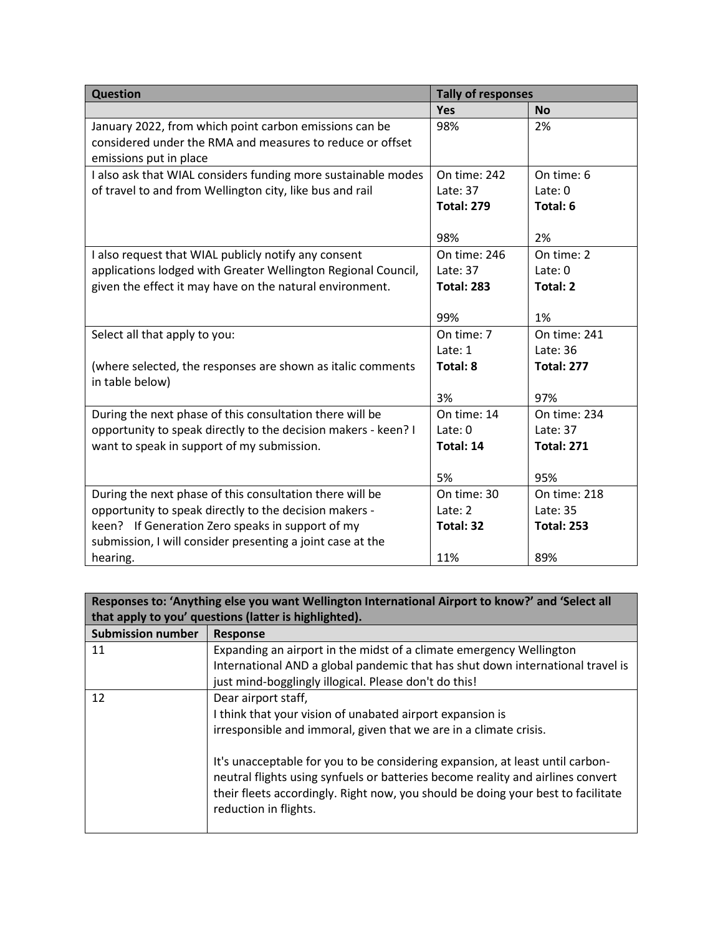| <b>Question</b>                                                | <b>Tally of responses</b> |                    |
|----------------------------------------------------------------|---------------------------|--------------------|
|                                                                | <b>Yes</b>                | <b>No</b>          |
| January 2022, from which point carbon emissions can be         | 98%                       | 2%                 |
| considered under the RMA and measures to reduce or offset      |                           |                    |
| emissions put in place                                         |                           |                    |
| I also ask that WIAL considers funding more sustainable modes  | On time: 242              | On time: 6         |
| of travel to and from Wellington city, like bus and rail       | Late: 37                  | $\text{Later: } 0$ |
|                                                                | <b>Total: 279</b>         | Total: 6           |
|                                                                |                           |                    |
|                                                                | 98%                       | 2%                 |
| I also request that WIAL publicly notify any consent           | On time: 246              | On time: 2         |
| applications lodged with Greater Wellington Regional Council,  | Late: $37$                | $\text{Later: } 0$ |
| given the effect it may have on the natural environment.       | <b>Total: 283</b>         | <b>Total: 2</b>    |
|                                                                |                           |                    |
|                                                                | 99%                       | 1%                 |
| Select all that apply to you:                                  | On time: 7                | On time: 241       |
|                                                                | Late: 1                   | Late: 36           |
| (where selected, the responses are shown as italic comments    | Total: 8                  | <b>Total: 277</b>  |
| in table below)                                                |                           |                    |
|                                                                | 3%                        | 97%                |
| During the next phase of this consultation there will be       | On time: 14               | On time: 234       |
| opportunity to speak directly to the decision makers - keen? I | Late: 0                   | Late: 37           |
| want to speak in support of my submission.                     | Total: 14                 | <b>Total: 271</b>  |
|                                                                |                           |                    |
|                                                                | 5%                        | 95%                |
| During the next phase of this consultation there will be       | On time: 30               | On time: 218       |
| opportunity to speak directly to the decision makers -         | Late: 2                   | Late: 35           |
| keen? If Generation Zero speaks in support of my               | Total: 32                 | <b>Total: 253</b>  |
| submission, I will consider presenting a joint case at the     |                           |                    |
| hearing.                                                       | 11%                       | 89%                |

| Responses to: 'Anything else you want Wellington International Airport to know?' and 'Select all<br>that apply to you' questions (latter is highlighted). |                                                                                                                                                                                                                                                                               |
|-----------------------------------------------------------------------------------------------------------------------------------------------------------|-------------------------------------------------------------------------------------------------------------------------------------------------------------------------------------------------------------------------------------------------------------------------------|
| <b>Submission number</b>                                                                                                                                  | <b>Response</b>                                                                                                                                                                                                                                                               |
| 11                                                                                                                                                        | Expanding an airport in the midst of a climate emergency Wellington                                                                                                                                                                                                           |
|                                                                                                                                                           | International AND a global pandemic that has shut down international travel is                                                                                                                                                                                                |
|                                                                                                                                                           | just mind-bogglingly illogical. Please don't do this!                                                                                                                                                                                                                         |
| 12                                                                                                                                                        | Dear airport staff,                                                                                                                                                                                                                                                           |
|                                                                                                                                                           | I think that your vision of unabated airport expansion is                                                                                                                                                                                                                     |
|                                                                                                                                                           | irresponsible and immoral, given that we are in a climate crisis.                                                                                                                                                                                                             |
|                                                                                                                                                           | It's unacceptable for you to be considering expansion, at least until carbon-<br>neutral flights using synfuels or batteries become reality and airlines convert<br>their fleets accordingly. Right now, you should be doing your best to facilitate<br>reduction in flights. |

 $\blacksquare$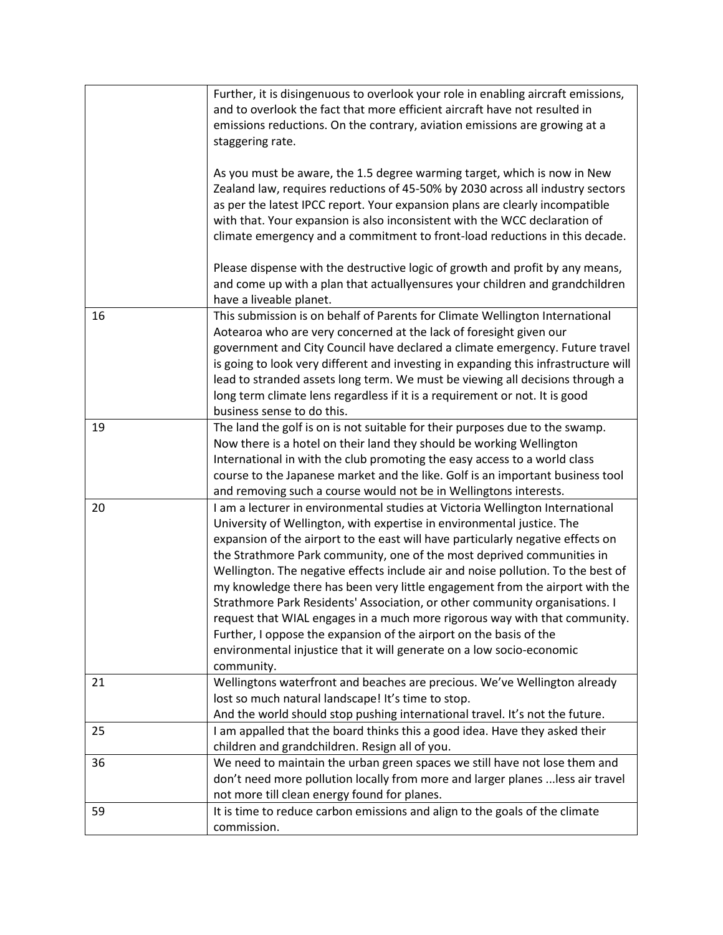|    | Further, it is disingenuous to overlook your role in enabling aircraft emissions,<br>and to overlook the fact that more efficient aircraft have not resulted in<br>emissions reductions. On the contrary, aviation emissions are growing at a<br>staggering rate.                                                                                                                                                                                                                                                                                                                                                                                                                                                                                                                                                  |
|----|--------------------------------------------------------------------------------------------------------------------------------------------------------------------------------------------------------------------------------------------------------------------------------------------------------------------------------------------------------------------------------------------------------------------------------------------------------------------------------------------------------------------------------------------------------------------------------------------------------------------------------------------------------------------------------------------------------------------------------------------------------------------------------------------------------------------|
|    | As you must be aware, the 1.5 degree warming target, which is now in New<br>Zealand law, requires reductions of 45-50% by 2030 across all industry sectors<br>as per the latest IPCC report. Your expansion plans are clearly incompatible<br>with that. Your expansion is also inconsistent with the WCC declaration of<br>climate emergency and a commitment to front-load reductions in this decade.                                                                                                                                                                                                                                                                                                                                                                                                            |
|    | Please dispense with the destructive logic of growth and profit by any means,<br>and come up with a plan that actuallyensures your children and grandchildren<br>have a liveable planet.                                                                                                                                                                                                                                                                                                                                                                                                                                                                                                                                                                                                                           |
| 16 | This submission is on behalf of Parents for Climate Wellington International<br>Aotearoa who are very concerned at the lack of foresight given our<br>government and City Council have declared a climate emergency. Future travel<br>is going to look very different and investing in expanding this infrastructure will<br>lead to stranded assets long term. We must be viewing all decisions through a<br>long term climate lens regardless if it is a requirement or not. It is good<br>business sense to do this.                                                                                                                                                                                                                                                                                            |
| 19 | The land the golf is on is not suitable for their purposes due to the swamp.<br>Now there is a hotel on their land they should be working Wellington<br>International in with the club promoting the easy access to a world class<br>course to the Japanese market and the like. Golf is an important business tool<br>and removing such a course would not be in Wellingtons interests.                                                                                                                                                                                                                                                                                                                                                                                                                           |
| 20 | I am a lecturer in environmental studies at Victoria Wellington International<br>University of Wellington, with expertise in environmental justice. The<br>expansion of the airport to the east will have particularly negative effects on<br>the Strathmore Park community, one of the most deprived communities in<br>Wellington. The negative effects include air and noise pollution. To the best of<br>my knowledge there has been very little engagement from the airport with the<br>Strathmore Park Residents' Association, or other community organisations. I<br>request that WIAL engages in a much more rigorous way with that community.<br>Further, I oppose the expansion of the airport on the basis of the<br>environmental injustice that it will generate on a low socio-economic<br>community. |
| 21 | Wellingtons waterfront and beaches are precious. We've Wellington already<br>lost so much natural landscape! It's time to stop.<br>And the world should stop pushing international travel. It's not the future.                                                                                                                                                                                                                                                                                                                                                                                                                                                                                                                                                                                                    |
| 25 | I am appalled that the board thinks this a good idea. Have they asked their<br>children and grandchildren. Resign all of you.                                                                                                                                                                                                                                                                                                                                                                                                                                                                                                                                                                                                                                                                                      |
| 36 | We need to maintain the urban green spaces we still have not lose them and<br>don't need more pollution locally from more and larger planes  less air travel<br>not more till clean energy found for planes.                                                                                                                                                                                                                                                                                                                                                                                                                                                                                                                                                                                                       |
| 59 | It is time to reduce carbon emissions and align to the goals of the climate<br>commission.                                                                                                                                                                                                                                                                                                                                                                                                                                                                                                                                                                                                                                                                                                                         |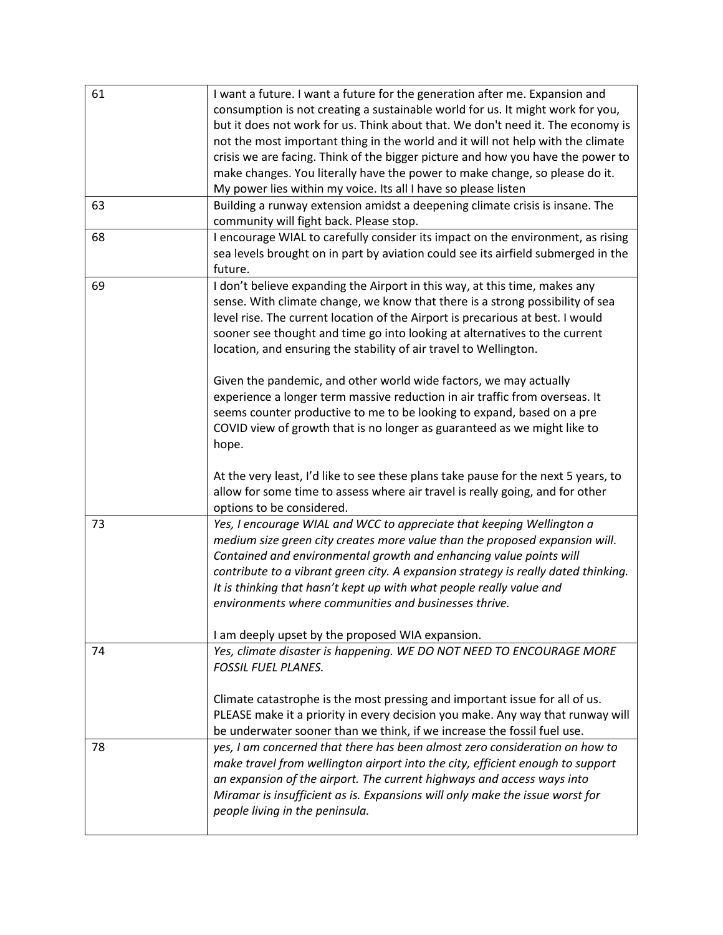| 61 | I want a future. I want a future for the generation after me. Expansion and<br>consumption is not creating a sustainable world for us. It might work for you,<br>but it does not work for us. Think about that. We don't need it. The economy is<br>not the most important thing in the world and it will not help with the climate<br>crisis we are facing. Think of the bigger picture and how you have the power to<br>make changes. You literally have the power to make change, so please do it.<br>My power lies within my voice. Its all I have so please listen                                                                                                                                             |
|----|---------------------------------------------------------------------------------------------------------------------------------------------------------------------------------------------------------------------------------------------------------------------------------------------------------------------------------------------------------------------------------------------------------------------------------------------------------------------------------------------------------------------------------------------------------------------------------------------------------------------------------------------------------------------------------------------------------------------|
| 63 | Building a runway extension amidst a deepening climate crisis is insane. The<br>community will fight back. Please stop.                                                                                                                                                                                                                                                                                                                                                                                                                                                                                                                                                                                             |
| 68 | I encourage WIAL to carefully consider its impact on the environment, as rising<br>sea levels brought on in part by aviation could see its airfield submerged in the<br>future.                                                                                                                                                                                                                                                                                                                                                                                                                                                                                                                                     |
| 69 | I don't believe expanding the Airport in this way, at this time, makes any<br>sense. With climate change, we know that there is a strong possibility of sea<br>level rise. The current location of the Airport is precarious at best. I would<br>sooner see thought and time go into looking at alternatives to the current<br>location, and ensuring the stability of air travel to Wellington.<br>Given the pandemic, and other world wide factors, we may actually<br>experience a longer term massive reduction in air traffic from overseas. It<br>seems counter productive to me to be looking to expand, based on a pre<br>COVID view of growth that is no longer as guaranteed as we might like to<br>hope. |
|    | At the very least, I'd like to see these plans take pause for the next 5 years, to<br>allow for some time to assess where air travel is really going, and for other<br>options to be considered.                                                                                                                                                                                                                                                                                                                                                                                                                                                                                                                    |
| 73 | Yes, I encourage WIAL and WCC to appreciate that keeping Wellington a<br>medium size green city creates more value than the proposed expansion will.<br>Contained and environmental growth and enhancing value points will<br>contribute to a vibrant green city. A expansion strategy is really dated thinking.<br>It is thinking that hasn't kept up with what people really value and<br>environments where communities and businesses thrive.<br>I am deeply upset by the proposed WIA expansion.                                                                                                                                                                                                               |
| 74 | Yes, climate disaster is happening. WE DO NOT NEED TO ENCOURAGE MORE<br><b>FOSSIL FUEL PLANES.</b><br>Climate catastrophe is the most pressing and important issue for all of us.<br>PLEASE make it a priority in every decision you make. Any way that runway will<br>be underwater sooner than we think, if we increase the fossil fuel use.                                                                                                                                                                                                                                                                                                                                                                      |
| 78 | yes, I am concerned that there has been almost zero consideration on how to<br>make travel from wellington airport into the city, efficient enough to support<br>an expansion of the airport. The current highways and access ways into<br>Miramar is insufficient as is. Expansions will only make the issue worst for<br>people living in the peninsula.                                                                                                                                                                                                                                                                                                                                                          |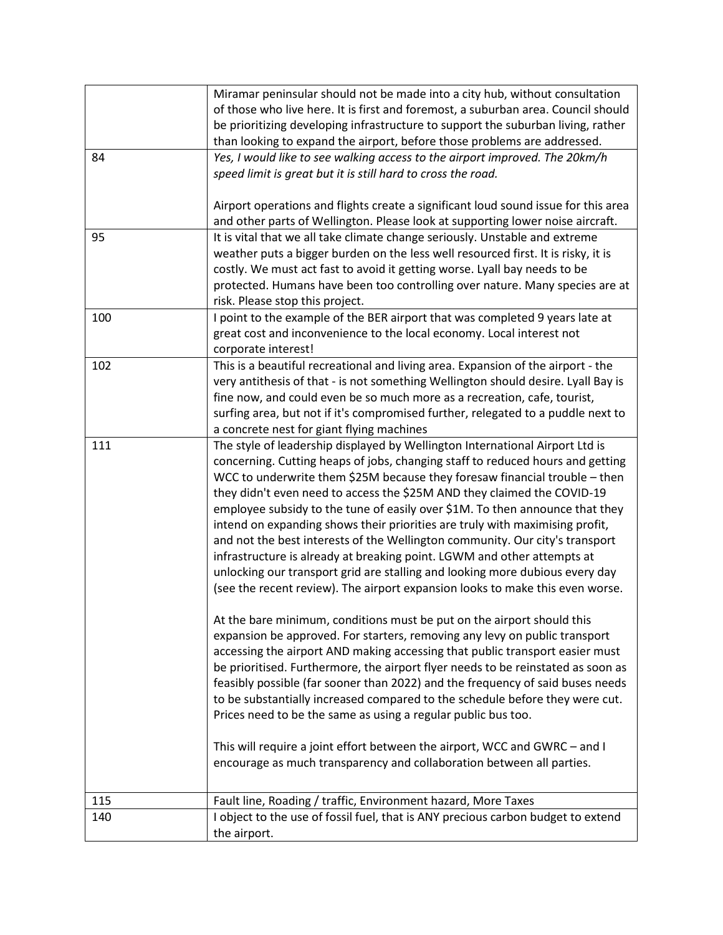|     | Miramar peninsular should not be made into a city hub, without consultation                                                                                      |
|-----|------------------------------------------------------------------------------------------------------------------------------------------------------------------|
|     | of those who live here. It is first and foremost, a suburban area. Council should                                                                                |
|     | be prioritizing developing infrastructure to support the suburban living, rather                                                                                 |
|     | than looking to expand the airport, before those problems are addressed.                                                                                         |
| 84  | Yes, I would like to see walking access to the airport improved. The 20km/h                                                                                      |
|     | speed limit is great but it is still hard to cross the road.                                                                                                     |
|     |                                                                                                                                                                  |
|     | Airport operations and flights create a significant loud sound issue for this area                                                                               |
|     | and other parts of Wellington. Please look at supporting lower noise aircraft.                                                                                   |
| 95  | It is vital that we all take climate change seriously. Unstable and extreme                                                                                      |
|     | weather puts a bigger burden on the less well resourced first. It is risky, it is                                                                                |
|     | costly. We must act fast to avoid it getting worse. Lyall bay needs to be                                                                                        |
|     | protected. Humans have been too controlling over nature. Many species are at                                                                                     |
|     | risk. Please stop this project.                                                                                                                                  |
| 100 | I point to the example of the BER airport that was completed 9 years late at                                                                                     |
|     | great cost and inconvenience to the local economy. Local interest not                                                                                            |
|     | corporate interest!                                                                                                                                              |
| 102 | This is a beautiful recreational and living area. Expansion of the airport - the                                                                                 |
|     | very antithesis of that - is not something Wellington should desire. Lyall Bay is                                                                                |
|     | fine now, and could even be so much more as a recreation, cafe, tourist,                                                                                         |
|     | surfing area, but not if it's compromised further, relegated to a puddle next to                                                                                 |
|     | a concrete nest for giant flying machines                                                                                                                        |
| 111 | The style of leadership displayed by Wellington International Airport Ltd is                                                                                     |
|     | concerning. Cutting heaps of jobs, changing staff to reduced hours and getting                                                                                   |
|     | WCC to underwrite them \$25M because they foresaw financial trouble - then                                                                                       |
|     | they didn't even need to access the \$25M AND they claimed the COVID-19                                                                                          |
|     | employee subsidy to the tune of easily over \$1M. To then announce that they                                                                                     |
|     | intend on expanding shows their priorities are truly with maximising profit,                                                                                     |
|     | and not the best interests of the Wellington community. Our city's transport                                                                                     |
|     | infrastructure is already at breaking point. LGWM and other attempts at                                                                                          |
|     | unlocking our transport grid are stalling and looking more dubious every day                                                                                     |
|     | (see the recent review). The airport expansion looks to make this even worse.                                                                                    |
|     | At the bare minimum, conditions must be put on the airport should this                                                                                           |
|     |                                                                                                                                                                  |
|     | expansion be approved. For starters, removing any levy on public transport                                                                                       |
|     | accessing the airport AND making accessing that public transport easier must<br>be prioritised. Furthermore, the airport flyer needs to be reinstated as soon as |
|     | feasibly possible (far sooner than 2022) and the frequency of said buses needs                                                                                   |
|     | to be substantially increased compared to the schedule before they were cut.                                                                                     |
|     | Prices need to be the same as using a regular public bus too.                                                                                                    |
|     |                                                                                                                                                                  |
|     | This will require a joint effort between the airport, WCC and GWRC - and I                                                                                       |
|     | encourage as much transparency and collaboration between all parties.                                                                                            |
|     |                                                                                                                                                                  |
| 115 | Fault line, Roading / traffic, Environment hazard, More Taxes                                                                                                    |
| 140 | I object to the use of fossil fuel, that is ANY precious carbon budget to extend                                                                                 |
|     | the airport.                                                                                                                                                     |
|     |                                                                                                                                                                  |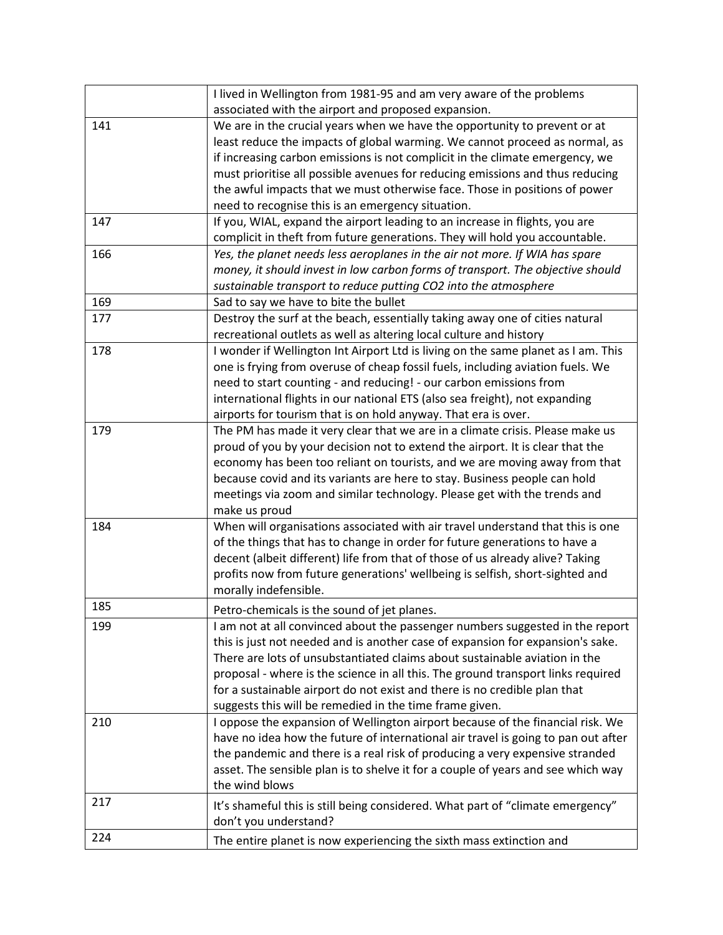|     | I lived in Wellington from 1981-95 and am very aware of the problems                                  |
|-----|-------------------------------------------------------------------------------------------------------|
|     | associated with the airport and proposed expansion.                                                   |
| 141 | We are in the crucial years when we have the opportunity to prevent or at                             |
|     | least reduce the impacts of global warming. We cannot proceed as normal, as                           |
|     | if increasing carbon emissions is not complicit in the climate emergency, we                          |
|     | must prioritise all possible avenues for reducing emissions and thus reducing                         |
|     | the awful impacts that we must otherwise face. Those in positions of power                            |
|     | need to recognise this is an emergency situation.                                                     |
| 147 | If you, WIAL, expand the airport leading to an increase in flights, you are                           |
|     | complicit in theft from future generations. They will hold you accountable.                           |
| 166 | Yes, the planet needs less aeroplanes in the air not more. If WIA has spare                           |
|     | money, it should invest in low carbon forms of transport. The objective should                        |
|     | sustainable transport to reduce putting CO2 into the atmosphere                                       |
| 169 | Sad to say we have to bite the bullet                                                                 |
| 177 | Destroy the surf at the beach, essentially taking away one of cities natural                          |
|     | recreational outlets as well as altering local culture and history                                    |
| 178 | I wonder if Wellington Int Airport Ltd is living on the same planet as I am. This                     |
|     | one is frying from overuse of cheap fossil fuels, including aviation fuels. We                        |
|     | need to start counting - and reducing! - our carbon emissions from                                    |
|     | international flights in our national ETS (also sea freight), not expanding                           |
|     | airports for tourism that is on hold anyway. That era is over.                                        |
| 179 | The PM has made it very clear that we are in a climate crisis. Please make us                         |
|     | proud of you by your decision not to extend the airport. It is clear that the                         |
|     | economy has been too reliant on tourists, and we are moving away from that                            |
|     | because covid and its variants are here to stay. Business people can hold                             |
|     | meetings via zoom and similar technology. Please get with the trends and                              |
|     | make us proud                                                                                         |
| 184 | When will organisations associated with air travel understand that this is one                        |
|     | of the things that has to change in order for future generations to have a                            |
|     | decent (albeit different) life from that of those of us already alive? Taking                         |
|     | profits now from future generations' wellbeing is selfish, short-sighted and<br>morally indefensible. |
| 185 |                                                                                                       |
|     | Petro-chemicals is the sound of jet planes.                                                           |
| 199 | I am not at all convinced about the passenger numbers suggested in the report                         |
|     | this is just not needed and is another case of expansion for expansion's sake.                        |
|     | There are lots of unsubstantiated claims about sustainable aviation in the                            |
|     | proposal - where is the science in all this. The ground transport links required                      |
|     | for a sustainable airport do not exist and there is no credible plan that                             |
|     | suggests this will be remedied in the time frame given.                                               |
| 210 | I oppose the expansion of Wellington airport because of the financial risk. We                        |
|     | have no idea how the future of international air travel is going to pan out after                     |
|     | the pandemic and there is a real risk of producing a very expensive stranded                          |
|     | asset. The sensible plan is to shelve it for a couple of years and see which way<br>the wind blows    |
| 217 |                                                                                                       |
|     | It's shameful this is still being considered. What part of "climate emergency"                        |
|     | don't you understand?                                                                                 |
| 224 | The entire planet is now experiencing the sixth mass extinction and                                   |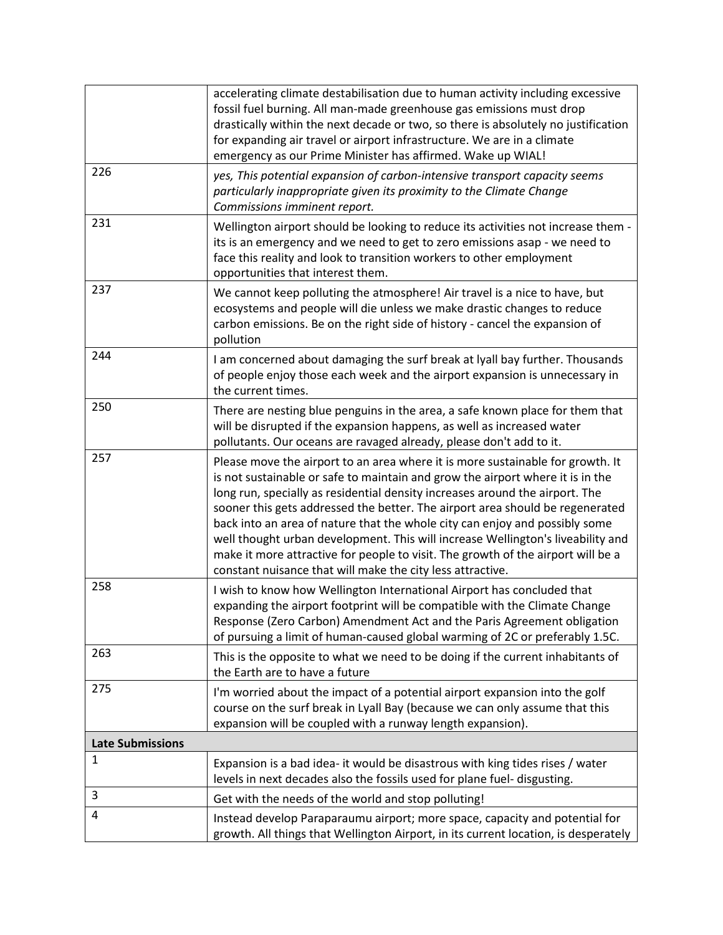|                         | accelerating climate destabilisation due to human activity including excessive<br>fossil fuel burning. All man-made greenhouse gas emissions must drop<br>drastically within the next decade or two, so there is absolutely no justification<br>for expanding air travel or airport infrastructure. We are in a climate<br>emergency as our Prime Minister has affirmed. Wake up WIAL!                                                                                                                                                                                                                                                                |
|-------------------------|-------------------------------------------------------------------------------------------------------------------------------------------------------------------------------------------------------------------------------------------------------------------------------------------------------------------------------------------------------------------------------------------------------------------------------------------------------------------------------------------------------------------------------------------------------------------------------------------------------------------------------------------------------|
| 226                     | yes, This potential expansion of carbon-intensive transport capacity seems<br>particularly inappropriate given its proximity to the Climate Change<br>Commissions imminent report.                                                                                                                                                                                                                                                                                                                                                                                                                                                                    |
| 231                     | Wellington airport should be looking to reduce its activities not increase them -<br>its is an emergency and we need to get to zero emissions asap - we need to<br>face this reality and look to transition workers to other employment<br>opportunities that interest them.                                                                                                                                                                                                                                                                                                                                                                          |
| 237                     | We cannot keep polluting the atmosphere! Air travel is a nice to have, but<br>ecosystems and people will die unless we make drastic changes to reduce<br>carbon emissions. Be on the right side of history - cancel the expansion of<br>pollution                                                                                                                                                                                                                                                                                                                                                                                                     |
| 244                     | I am concerned about damaging the surf break at Iyall bay further. Thousands<br>of people enjoy those each week and the airport expansion is unnecessary in<br>the current times.                                                                                                                                                                                                                                                                                                                                                                                                                                                                     |
| 250                     | There are nesting blue penguins in the area, a safe known place for them that<br>will be disrupted if the expansion happens, as well as increased water<br>pollutants. Our oceans are ravaged already, please don't add to it.                                                                                                                                                                                                                                                                                                                                                                                                                        |
| 257                     | Please move the airport to an area where it is more sustainable for growth. It<br>is not sustainable or safe to maintain and grow the airport where it is in the<br>long run, specially as residential density increases around the airport. The<br>sooner this gets addressed the better. The airport area should be regenerated<br>back into an area of nature that the whole city can enjoy and possibly some<br>well thought urban development. This will increase Wellington's liveability and<br>make it more attractive for people to visit. The growth of the airport will be a<br>constant nuisance that will make the city less attractive. |
| 258                     | I wish to know how Wellington International Airport has concluded that<br>expanding the airport footprint will be compatible with the Climate Change<br>Response (Zero Carbon) Amendment Act and the Paris Agreement obligation<br>of pursuing a limit of human-caused global warming of 2C or preferably 1.5C.                                                                                                                                                                                                                                                                                                                                       |
| 263                     | This is the opposite to what we need to be doing if the current inhabitants of<br>the Earth are to have a future                                                                                                                                                                                                                                                                                                                                                                                                                                                                                                                                      |
| 275                     | I'm worried about the impact of a potential airport expansion into the golf<br>course on the surf break in Lyall Bay (because we can only assume that this<br>expansion will be coupled with a runway length expansion).                                                                                                                                                                                                                                                                                                                                                                                                                              |
| <b>Late Submissions</b> |                                                                                                                                                                                                                                                                                                                                                                                                                                                                                                                                                                                                                                                       |
| 1                       | Expansion is a bad idea- it would be disastrous with king tides rises / water<br>levels in next decades also the fossils used for plane fuel- disgusting.                                                                                                                                                                                                                                                                                                                                                                                                                                                                                             |
| 3                       | Get with the needs of the world and stop polluting!                                                                                                                                                                                                                                                                                                                                                                                                                                                                                                                                                                                                   |
| 4                       | Instead develop Paraparaumu airport; more space, capacity and potential for<br>growth. All things that Wellington Airport, in its current location, is desperately                                                                                                                                                                                                                                                                                                                                                                                                                                                                                    |